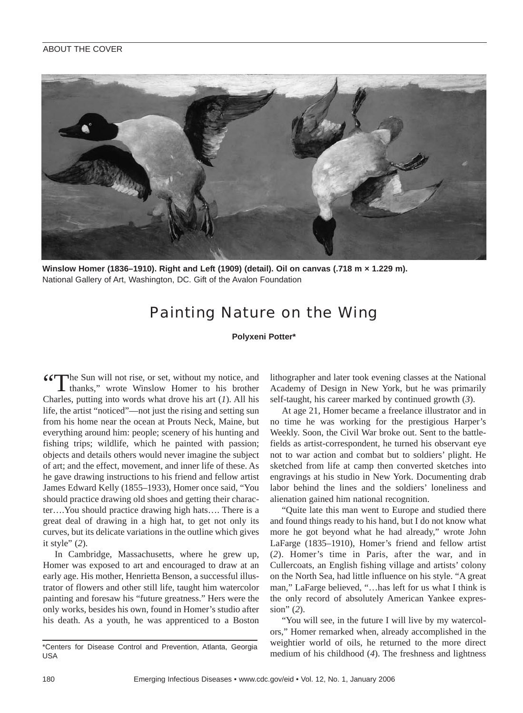## ABOUT THE COVER



**Winslow Homer (1836–1910). Right and Left (1909) (detail). Oil on canvas (.718 m × 1.229 m).**  National Gallery of Art, Washington, DC. Gift of the Avalon Foundation

## Painting Nature on the Wing

## **Polyxeni Potter\***

**"The Sun will not rise, or set, without my notice, and** thanks," wrote Winslow Homer to his brother Charles, putting into words what drove his art (*1*). All his life, the artist "noticed"—not just the rising and setting sun from his home near the ocean at Prouts Neck, Maine, but everything around him: people; scenery of his hunting and fishing trips; wildlife, which he painted with passion; objects and details others would never imagine the subject of art; and the effect, movement, and inner life of these. As he gave drawing instructions to his friend and fellow artist James Edward Kelly (1855–1933), Homer once said, "You should practice drawing old shoes and getting their character….You should practice drawing high hats…. There is a great deal of drawing in a high hat, to get not only its curves, but its delicate variations in the outline which gives it style" (*2*).

In Cambridge, Massachusetts, where he grew up, Homer was exposed to art and encouraged to draw at an early age. His mother, Henrietta Benson, a successful illustrator of flowers and other still life, taught him watercolor painting and foresaw his "future greatness." Hers were the only works, besides his own, found in Homer's studio after his death. As a youth, he was apprenticed to a Boston lithographer and later took evening classes at the National Academy of Design in New York, but he was primarily self-taught, his career marked by continued growth (*3*).

At age 21, Homer became a freelance illustrator and in no time he was working for the prestigious Harper's Weekly. Soon, the Civil War broke out. Sent to the battlefields as artist-correspondent, he turned his observant eye not to war action and combat but to soldiers' plight. He sketched from life at camp then converted sketches into engravings at his studio in New York. Documenting drab labor behind the lines and the soldiers' loneliness and alienation gained him national recognition.

"Quite late this man went to Europe and studied there and found things ready to his hand, but I do not know what more he got beyond what he had already," wrote John LaFarge (1835–1910), Homer's friend and fellow artist (*2*). Homer's time in Paris, after the war, and in Cullercoats, an English fishing village and artists' colony on the North Sea, had little influence on his style. "A great man," LaFarge believed, "…has left for us what I think is the only record of absolutely American Yankee expression" (*2*).

"You will see, in the future I will live by my watercolors," Homer remarked when, already accomplished in the weightier world of oils, he returned to the more direct medium of his childhood (*4*). The freshness and lightness

<sup>\*</sup>Centers for Disease Control and Prevention, Atlanta, Georgia USA